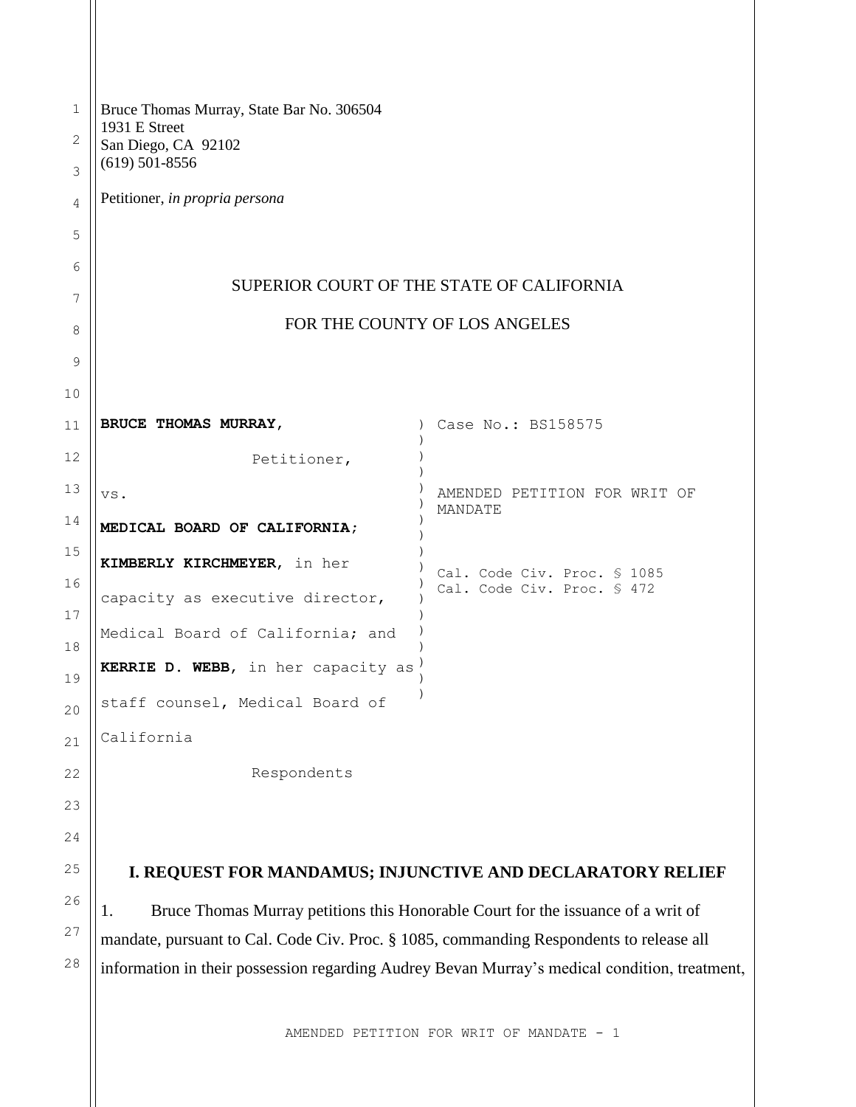| $\mathbf 1$<br>2 | Bruce Thomas Murray, State Bar No. 306504<br>1931 E Street<br>San Diego, CA 92102             |                                         |  |
|------------------|-----------------------------------------------------------------------------------------------|-----------------------------------------|--|
| 3                | $(619)$ 501-8556                                                                              |                                         |  |
| 4                | Petitioner, in propria persona                                                                |                                         |  |
| 5                |                                                                                               |                                         |  |
| 6                |                                                                                               |                                         |  |
| 7                | SUPERIOR COURT OF THE STATE OF CALIFORNIA                                                     |                                         |  |
| 8                | FOR THE COUNTY OF LOS ANGELES                                                                 |                                         |  |
| 9                |                                                                                               |                                         |  |
| 10               |                                                                                               |                                         |  |
| 11               | BRUCE THOMAS MURRAY,                                                                          | Case No.: BS158575                      |  |
| 12               | Petitioner,                                                                                   |                                         |  |
| 13               | VS.                                                                                           | AMENDED PETITION FOR WRIT OF<br>MANDATE |  |
| 14               | MEDICAL BOARD OF CALIFORNIA;                                                                  |                                         |  |
| 15               | KIMBERLY KIRCHMEYER, in her                                                                   | Cal. Code Civ. Proc. § 1085             |  |
| 16<br>17         | capacity as executive director,                                                               | Cal. Code Civ. Proc. § 472              |  |
| 18               | Medical Board of California; and                                                              |                                         |  |
| 19               | KERRIE D. WEBB, in her capacity as                                                            |                                         |  |
| 20               | staff counsel, Medical Board of                                                               |                                         |  |
| 21               | California                                                                                    |                                         |  |
| 22               | Respondents                                                                                   |                                         |  |
| 23               |                                                                                               |                                         |  |
| 24               |                                                                                               |                                         |  |
| 25               | I. REQUEST FOR MANDAMUS; INJUNCTIVE AND DECLARATORY RELIEF                                    |                                         |  |
| 26               | Bruce Thomas Murray petitions this Honorable Court for the issuance of a writ of<br>1.        |                                         |  |
| 27               | mandate, pursuant to Cal. Code Civ. Proc. § 1085, commanding Respondents to release all       |                                         |  |
| 28               | information in their possession regarding Audrey Bevan Murray's medical condition, treatment, |                                         |  |
|                  |                                                                                               |                                         |  |
|                  | AMENDED PETITION FOR WRIT OF MANDATE - 1                                                      |                                         |  |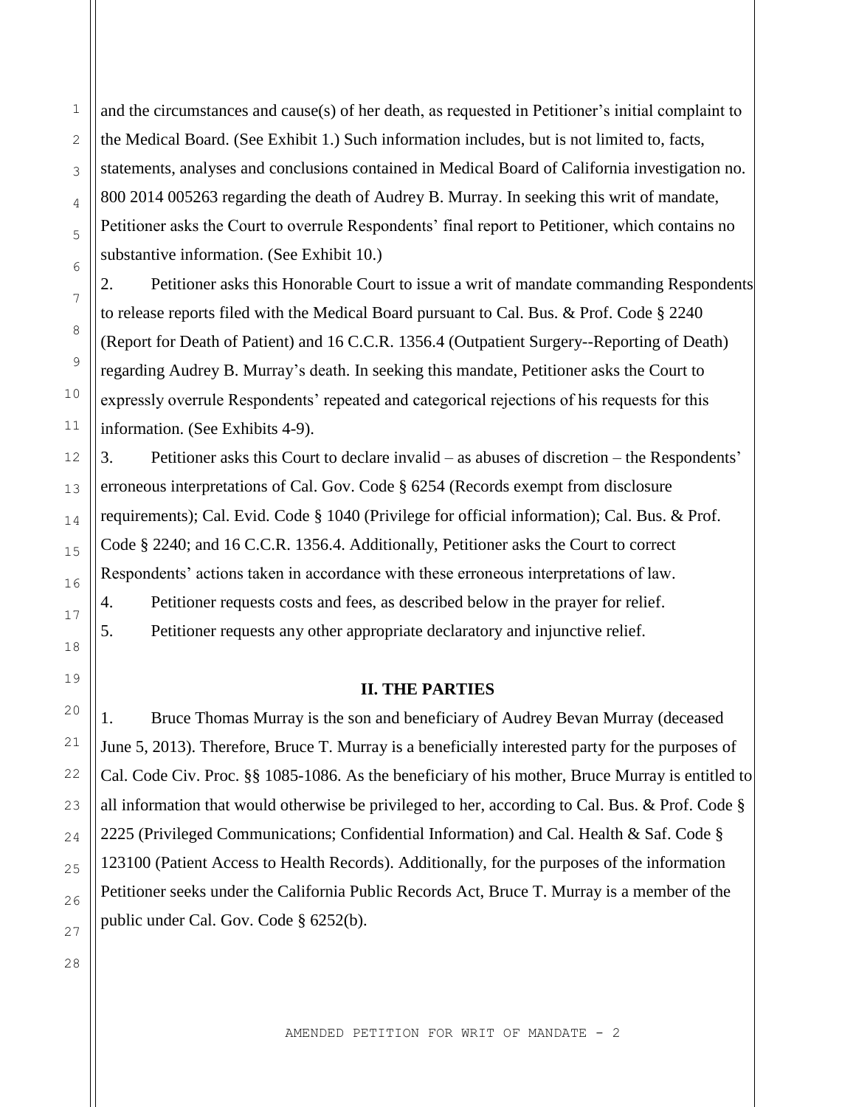and the circumstances and cause(s) of her death, as requested in Petitioner's initial complaint to the Medical Board. (See Exhibit 1.) Such information includes, but is not limited to, facts, statements, analyses and conclusions contained in Medical Board of California investigation no. 800 2014 005263 regarding the death of Audrey B. Murray. In seeking this writ of mandate, Petitioner asks the Court to overrule Respondents' final report to Petitioner, which contains no substantive information. (See Exhibit 10.)

2. Petitioner asks this Honorable Court to issue a writ of mandate commanding Respondents to release reports filed with the Medical Board pursuant to Cal. Bus. & Prof. Code § 2240 (Report for Death of Patient) and 16 C.C.R. 1356.4 (Outpatient Surgery--Reporting of Death) regarding Audrey B. Murray's death. In seeking this mandate, Petitioner asks the Court to expressly overrule Respondents' repeated and categorical rejections of his requests for this information. (See Exhibits 4-9).

3. Petitioner asks this Court to declare invalid – as abuses of discretion – the Respondents' erroneous interpretations of Cal. Gov. Code § 6254 (Records exempt from disclosure requirements); Cal. Evid. Code § 1040 (Privilege for official information); Cal. Bus. & Prof. Code § 2240; and 16 C.C.R. 1356.4. Additionally, Petitioner asks the Court to correct Respondents' actions taken in accordance with these erroneous interpretations of law. 4. Petitioner requests costs and fees, as described below in the prayer for relief. 5. Petitioner requests any other appropriate declaratory and injunctive relief.

### **II. THE PARTIES**

1. Bruce Thomas Murray is the son and beneficiary of Audrey Bevan Murray (deceased June 5, 2013). Therefore, Bruce T. Murray is a beneficially interested party for the purposes of Cal. Code Civ. Proc. §§ 1085-1086. As the beneficiary of his mother, Bruce Murray is entitled to all information that would otherwise be privileged to her, according to Cal. Bus. & Prof. Code § 2225 (Privileged Communications; Confidential Information) and Cal. Health & Saf. Code § 123100 (Patient Access to Health Records). Additionally, for the purposes of the information Petitioner seeks under the California Public Records Act, Bruce T. Murray is a member of the public under Cal. Gov. Code § 6252(b).

1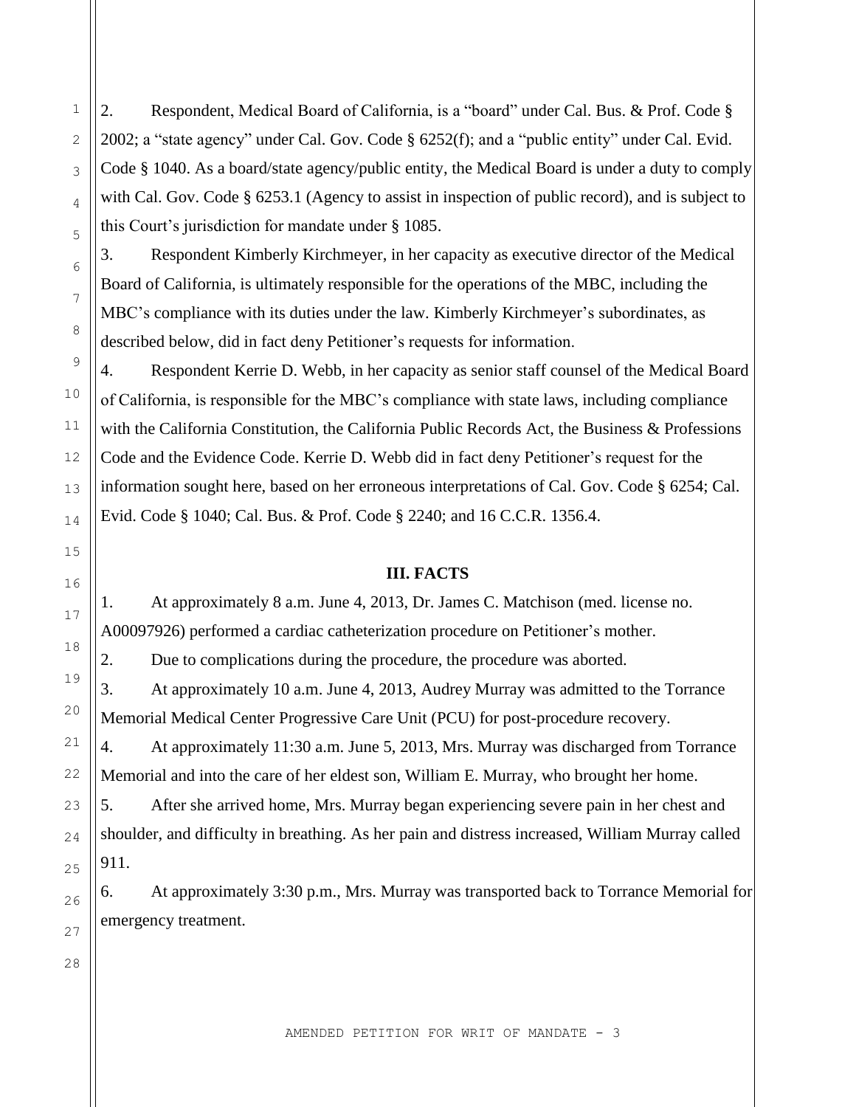2. Respondent, Medical Board of California, is a "board" under Cal. Bus. & Prof. Code § 2002; a "state agency" under Cal. Gov. Code § 6252(f); and a "public entity" under Cal. Evid. Code § 1040. As a board/state agency/public entity, the Medical Board is under a duty to comply with Cal. Gov. Code § 6253.1 (Agency to assist in inspection of public record), and is subject to this Court's jurisdiction for mandate under § 1085.

3. Respondent Kimberly Kirchmeyer, in her capacity as executive director of the Medical Board of California, is ultimately responsible for the operations of the MBC, including the MBC's compliance with its duties under the law. Kimberly Kirchmeyer's subordinates, as described below, did in fact deny Petitioner's requests for information.

4. Respondent Kerrie D. Webb, in her capacity as senior staff counsel of the Medical Board of California, is responsible for the MBC's compliance with state laws, including compliance with the California Constitution, the California Public Records Act, the Business & Professions Code and the Evidence Code. Kerrie D. Webb did in fact deny Petitioner's request for the information sought here, based on her erroneous interpretations of Cal. Gov. Code § 6254; Cal. Evid. Code § 1040; Cal. Bus. & Prof. Code § 2240; and 16 C.C.R. 1356.4.

### **III. FACTS**

1. At approximately 8 a.m. June 4, 2013, Dr. James C. Matchison (med. license no. A00097926) performed a cardiac catheterization procedure on Petitioner's mother.

2. Due to complications during the procedure, the procedure was aborted. 3. At approximately 10 a.m. June 4, 2013, Audrey Murray was admitted to the Torrance Memorial Medical Center Progressive Care Unit (PCU) for post-procedure recovery. 4. At approximately 11:30 a.m. June 5, 2013, Mrs. Murray was discharged from Torrance Memorial and into the care of her eldest son, William E. Murray, who brought her home.

5. After she arrived home, Mrs. Murray began experiencing severe pain in her chest and shoulder, and difficulty in breathing. As her pain and distress increased, William Murray called 911.

6. At approximately 3:30 p.m., Mrs. Murray was transported back to Torrance Memorial for emergency treatment.

1

2

3

4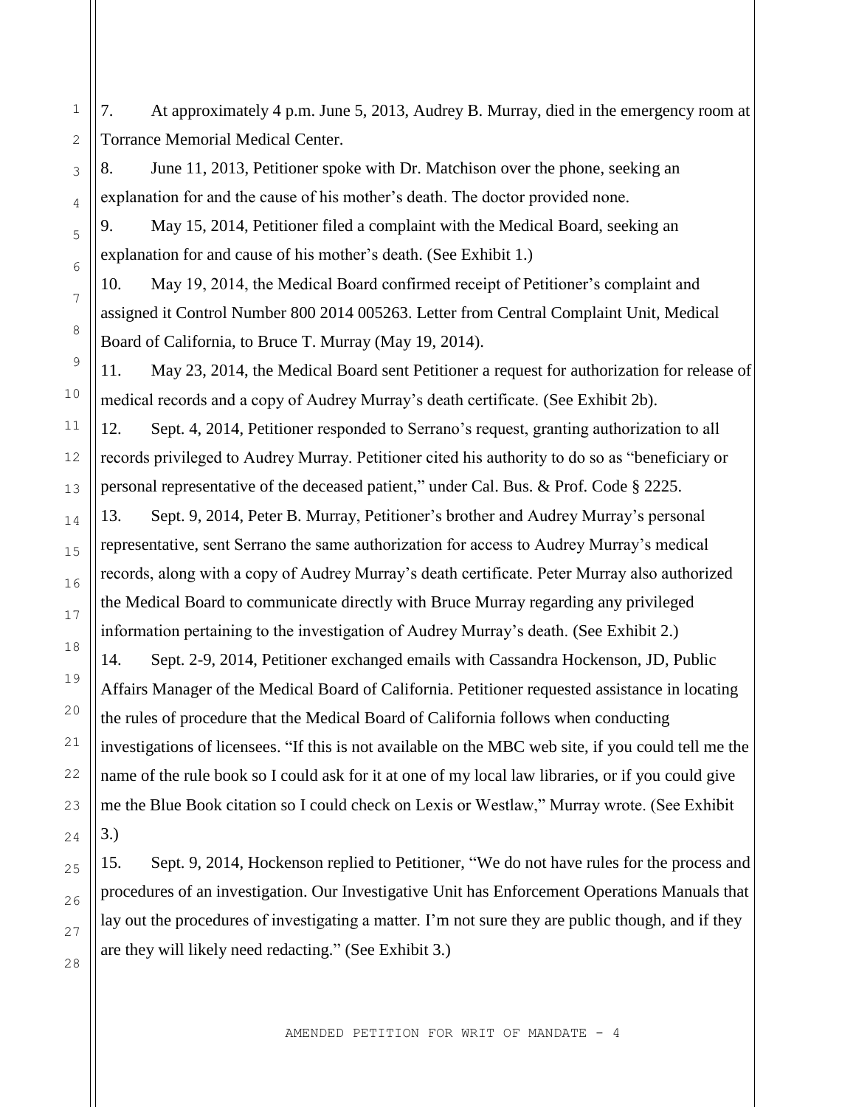7. At approximately 4 p.m. June 5, 2013, Audrey B. Murray, died in the emergency room at Torrance Memorial Medical Center.

8. June 11, 2013, Petitioner spoke with Dr. Matchison over the phone, seeking an explanation for and the cause of his mother's death. The doctor provided none.

9. May 15, 2014, Petitioner filed a complaint with the Medical Board, seeking an explanation for and cause of his mother's death. (See Exhibit 1.)

10. May 19, 2014, the Medical Board confirmed receipt of Petitioner's complaint and assigned it Control Number 800 2014 005263. Letter from Central Complaint Unit, Medical Board of California, to Bruce T. Murray (May 19, 2014).

11. May 23, 2014, the Medical Board sent Petitioner a request for authorization for release of medical records and a copy of Audrey Murray's death certificate. (See Exhibit 2b).

12. Sept. 4, 2014, Petitioner responded to Serrano's request, granting authorization to all records privileged to Audrey Murray. Petitioner cited his authority to do so as "beneficiary or personal representative of the deceased patient," under Cal. Bus. & Prof. Code § 2225.

13. Sept. 9, 2014, Peter B. Murray, Petitioner's brother and Audrey Murray's personal representative, sent Serrano the same authorization for access to Audrey Murray's medical records, along with a copy of Audrey Murray's death certificate. Peter Murray also authorized the Medical Board to communicate directly with Bruce Murray regarding any privileged information pertaining to the investigation of Audrey Murray's death. (See Exhibit 2.)

14. Sept. 2-9, 2014, Petitioner exchanged emails with Cassandra Hockenson, JD, Public Affairs Manager of the Medical Board of California. Petitioner requested assistance in locating the rules of procedure that the Medical Board of California follows when conducting investigations of licensees. "If this is not available on the MBC web site, if you could tell me the name of the rule book so I could ask for it at one of my local law libraries, or if you could give me the Blue Book citation so I could check on Lexis or Westlaw," Murray wrote. (See Exhibit 3.)

15. Sept. 9, 2014, Hockenson replied to Petitioner, "We do not have rules for the process and procedures of an investigation. Our Investigative Unit has Enforcement Operations Manuals that lay out the procedures of investigating a matter. I'm not sure they are public though, and if they are they will likely need redacting." (See Exhibit 3.)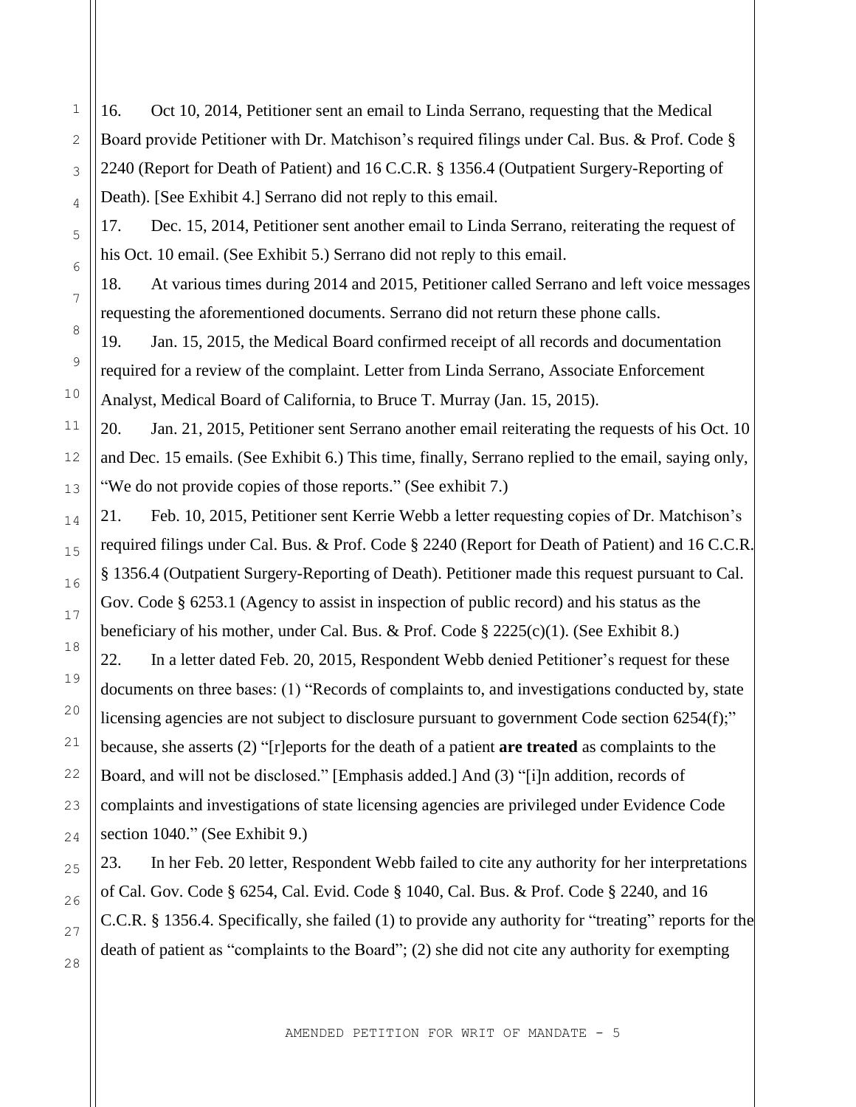16. Oct 10, 2014, Petitioner sent an email to Linda Serrano, requesting that the Medical Board provide Petitioner with Dr. Matchison's required filings under Cal. Bus. & Prof. Code § 2240 (Report for Death of Patient) and 16 C.C.R. § 1356.4 (Outpatient Surgery-Reporting of Death). [See Exhibit 4.] Serrano did not reply to this email.

17. Dec. 15, 2014, Petitioner sent another email to Linda Serrano, reiterating the request of his Oct. 10 email. (See Exhibit 5.) Serrano did not reply to this email.

18. At various times during 2014 and 2015, Petitioner called Serrano and left voice messages requesting the aforementioned documents. Serrano did not return these phone calls.

19. Jan. 15, 2015, the Medical Board confirmed receipt of all records and documentation required for a review of the complaint. Letter from Linda Serrano, Associate Enforcement Analyst, Medical Board of California, to Bruce T. Murray (Jan. 15, 2015).

20. Jan. 21, 2015, Petitioner sent Serrano another email reiterating the requests of his Oct. 10 and Dec. 15 emails. (See Exhibit 6.) This time, finally, Serrano replied to the email, saying only, "We do not provide copies of those reports." (See exhibit 7.)

21. Feb. 10, 2015, Petitioner sent Kerrie Webb a letter requesting copies of Dr. Matchison's required filings under Cal. Bus. & Prof. Code § 2240 (Report for Death of Patient) and 16 C.C.R. § 1356.4 (Outpatient Surgery-Reporting of Death). Petitioner made this request pursuant to Cal. Gov. Code § 6253.1 (Agency to assist in inspection of public record) and his status as the beneficiary of his mother, under Cal. Bus. & Prof. Code § 2225(c)(1). (See Exhibit 8.)

22. In a letter dated Feb. 20, 2015, Respondent Webb denied Petitioner's request for these documents on three bases: (1) "Records of complaints to, and investigations conducted by, state licensing agencies are not subject to disclosure pursuant to government Code section 6254(f);" because, she asserts (2) "[r]eports for the death of a patient **are treated** as complaints to the Board, and will not be disclosed." [Emphasis added.] And (3) "[i]n addition, records of complaints and investigations of state licensing agencies are privileged under Evidence Code section 1040." (See Exhibit 9.)

23. In her Feb. 20 letter, Respondent Webb failed to cite any authority for her interpretations of Cal. Gov. Code § 6254, Cal. Evid. Code § 1040, Cal. Bus. & Prof. Code § 2240, and 16 C.C.R. § 1356.4. Specifically, she failed (1) to provide any authority for "treating" reports for the death of patient as "complaints to the Board"; (2) she did not cite any authority for exempting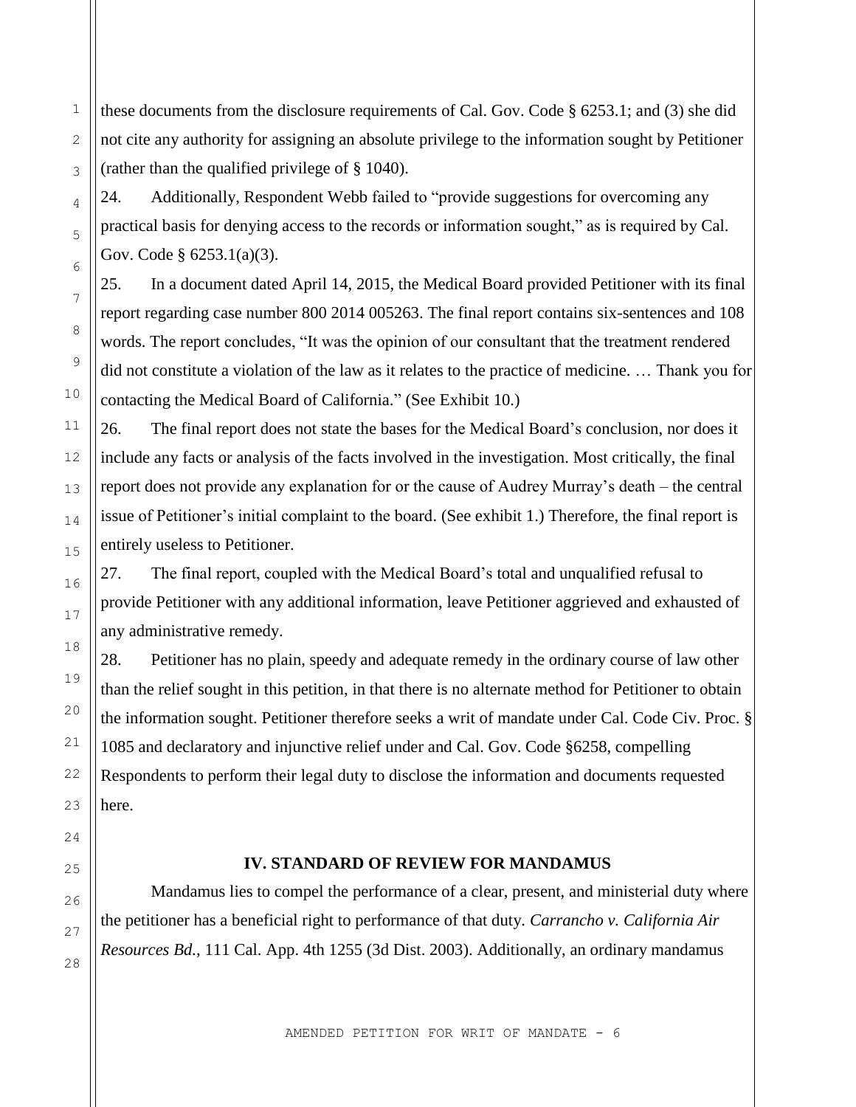these documents from the disclosure requirements of Cal. Gov. Code § 6253.1; and (3) she did not cite any authority for assigning an absolute privilege to the information sought by Petitioner (rather than the qualified privilege of § 1040).

24. Additionally, Respondent Webb failed to "provide suggestions for overcoming any practical basis for denying access to the records or information sought," as is required by Cal. Gov. Code § 6253.1(a)(3).

25. In a document dated April 14, 2015, the Medical Board provided Petitioner with its final report regarding case number 800 2014 005263. The final report contains six-sentences and 108 words. The report concludes, "It was the opinion of our consultant that the treatment rendered did not constitute a violation of the law as it relates to the practice of medicine. … Thank you for contacting the Medical Board of California." (See Exhibit 10.)

26. The final report does not state the bases for the Medical Board's conclusion, nor does it include any facts or analysis of the facts involved in the investigation. Most critically, the final report does not provide any explanation for or the cause of Audrey Murray's death – the central issue of Petitioner's initial complaint to the board. (See exhibit 1.) Therefore, the final report is entirely useless to Petitioner.

27. The final report, coupled with the Medical Board's total and unqualified refusal to provide Petitioner with any additional information, leave Petitioner aggrieved and exhausted of any administrative remedy.

28. Petitioner has no plain, speedy and adequate remedy in the ordinary course of law other than the relief sought in this petition, in that there is no alternate method for Petitioner to obtain the information sought. Petitioner therefore seeks a writ of mandate under Cal. Code Civ. Proc. § 1085 and declaratory and injunctive relief under and Cal. Gov. Code §6258, compelling Respondents to perform their legal duty to disclose the information and documents requested here.

### **IV. STANDARD OF REVIEW FOR MANDAMUS**

Mandamus lies to compel the performance of a clear, present, and ministerial duty where the petitioner has a beneficial right to performance of that duty. *Carrancho v. California Air Resources Bd.,* 111 Cal. App. 4th 1255 (3d Dist. 2003). Additionally, an ordinary mandamus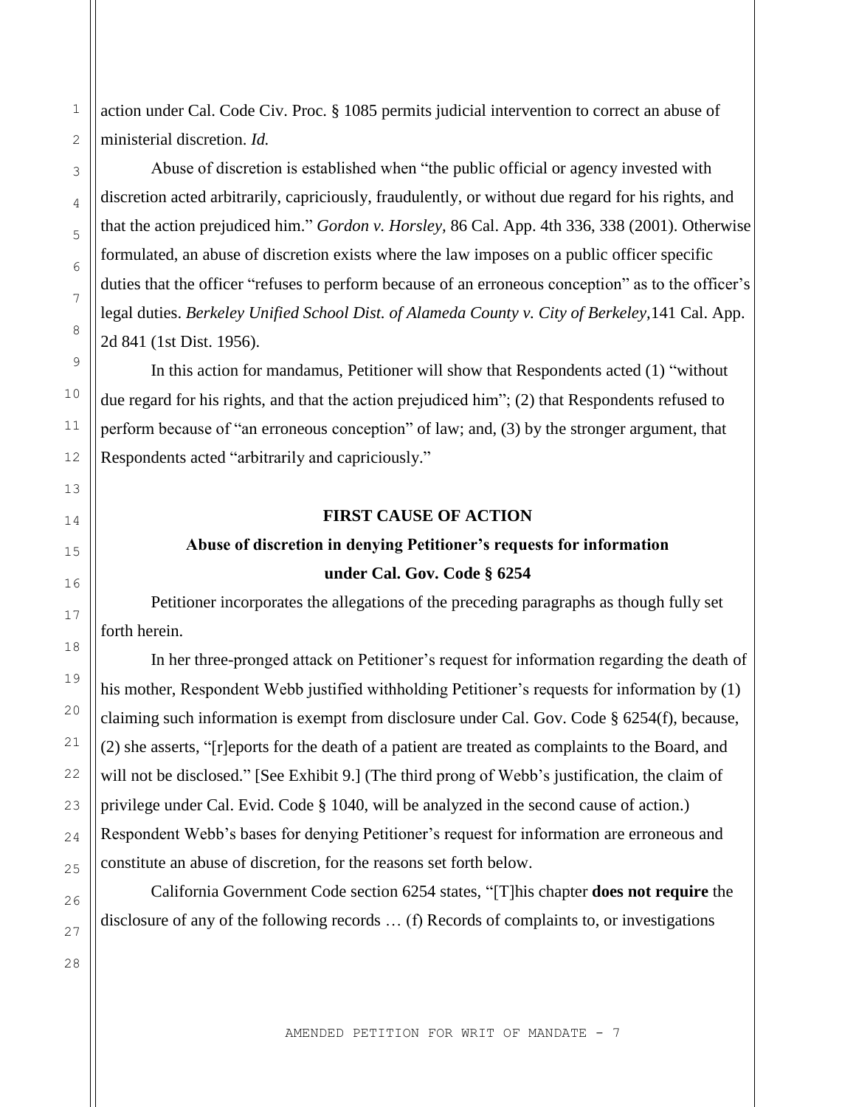action under Cal. Code Civ. Proc. § 1085 permits judicial intervention to correct an abuse of ministerial discretion. *Id.*

Abuse of discretion is established when "the public official or agency invested with discretion acted arbitrarily, capriciously, fraudulently, or without due regard for his rights, and that the action prejudiced him." *Gordon v. Horsley,* 86 Cal. App. 4th 336, 338 (2001). Otherwise formulated, an abuse of discretion exists where the law imposes on a public officer specific duties that the officer "refuses to perform because of an erroneous conception" as to the officer's legal duties. *Berkeley Unified School Dist. of Alameda County v. City of Berkeley,*141 Cal. App. 2d 841 (1st Dist. 1956).

In this action for mandamus, Petitioner will show that Respondents acted (1) "without due regard for his rights, and that the action prejudiced him"; (2) that Respondents refused to perform because of "an erroneous conception" of law; and, (3) by the stronger argument, that Respondents acted "arbitrarily and capriciously."

### **FIRST CAUSE OF ACTION**

### **Abuse of discretion in denying Petitioner's requests for information**

### **under Cal. Gov. Code § 6254**

Petitioner incorporates the allegations of the preceding paragraphs as though fully set forth herein.

In her three-pronged attack on Petitioner's request for information regarding the death of his mother, Respondent Webb justified withholding Petitioner's requests for information by (1) claiming such information is exempt from disclosure under Cal. Gov. Code § 6254(f), because, (2) she asserts, "[r]eports for the death of a patient are treated as complaints to the Board, and will not be disclosed." [See Exhibit 9.] (The third prong of Webb's justification, the claim of privilege under Cal. Evid. Code § 1040, will be analyzed in the second cause of action.) Respondent Webb's bases for denying Petitioner's request for information are erroneous and constitute an abuse of discretion, for the reasons set forth below.

California Government Code section 6254 states, "[T]his chapter **does not require** the disclosure of any of the following records … (f) Records of complaints to, or investigations

1

2

3

4

5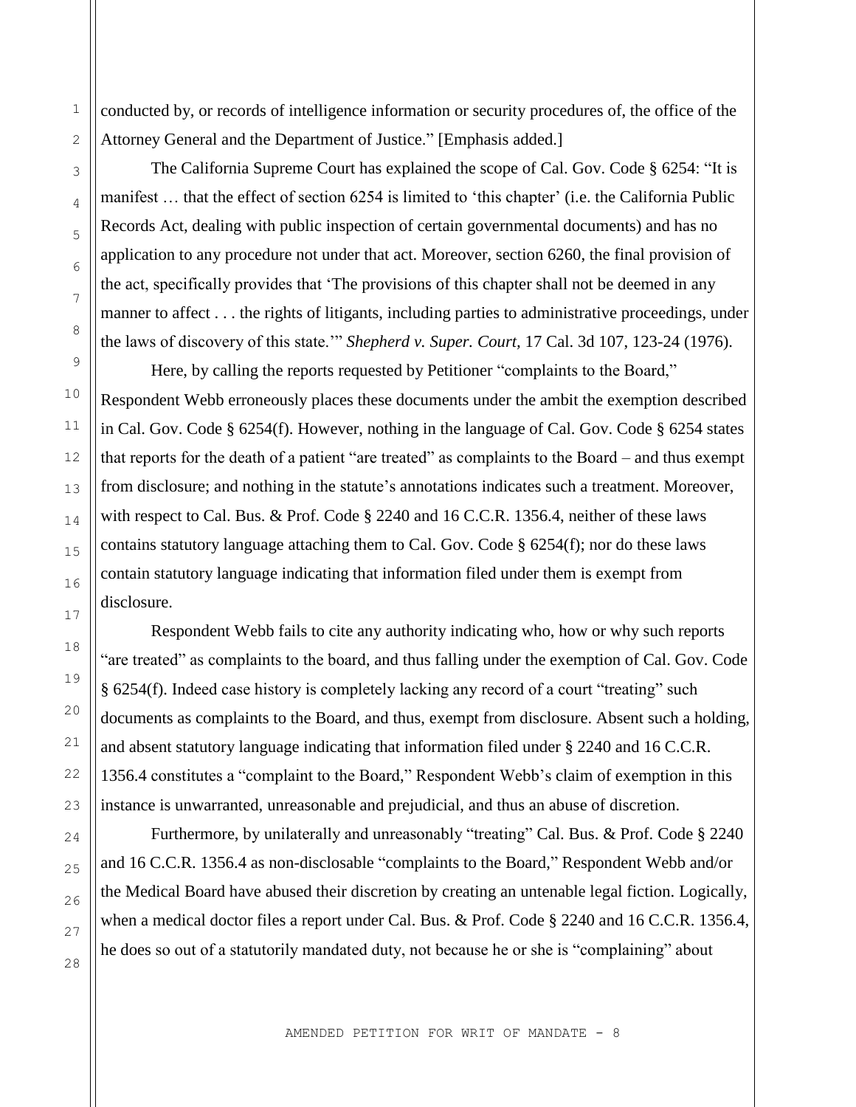conducted by, or records of intelligence information or security procedures of, the office of the Attorney General and the Department of Justice." [Emphasis added.]

The California Supreme Court has explained the scope of Cal. Gov. Code § 6254: "It is manifest … that the effect of section 6254 is limited to 'this chapter' (i.e. the California Public Records Act, dealing with public inspection of certain governmental documents) and has no application to any procedure not under that act. Moreover, section 6260, the final provision of the act, specifically provides that 'The provisions of this chapter shall not be deemed in any manner to affect . . . the rights of litigants, including parties to administrative proceedings, under the laws of discovery of this state.'" *Shepherd v. Super. Court,* 17 Cal. 3d 107, 123-24 (1976).

Here, by calling the reports requested by Petitioner "complaints to the Board," Respondent Webb erroneously places these documents under the ambit the exemption described in Cal. Gov. Code § 6254(f). However, nothing in the language of Cal. Gov. Code § 6254 states that reports for the death of a patient "are treated" as complaints to the Board – and thus exempt from disclosure; and nothing in the statute's annotations indicates such a treatment. Moreover, with respect to Cal. Bus. & Prof. Code § 2240 and 16 C.C.R. 1356.4, neither of these laws contains statutory language attaching them to Cal. Gov. Code § 6254(f); nor do these laws contain statutory language indicating that information filed under them is exempt from disclosure.

Respondent Webb fails to cite any authority indicating who, how or why such reports "are treated" as complaints to the board, and thus falling under the exemption of Cal. Gov. Code § 6254(f). Indeed case history is completely lacking any record of a court "treating" such documents as complaints to the Board, and thus, exempt from disclosure. Absent such a holding, and absent statutory language indicating that information filed under § 2240 and 16 C.C.R. 1356.4 constitutes a "complaint to the Board," Respondent Webb's claim of exemption in this instance is unwarranted, unreasonable and prejudicial, and thus an abuse of discretion.

Furthermore, by unilaterally and unreasonably "treating" Cal. Bus. & Prof. Code § 2240 and 16 C.C.R. 1356.4 as non-disclosable "complaints to the Board," Respondent Webb and/or the Medical Board have abused their discretion by creating an untenable legal fiction. Logically, when a medical doctor files a report under Cal. Bus. & Prof. Code § 2240 and 16 C.C.R. 1356.4, he does so out of a statutorily mandated duty, not because he or she is "complaining" about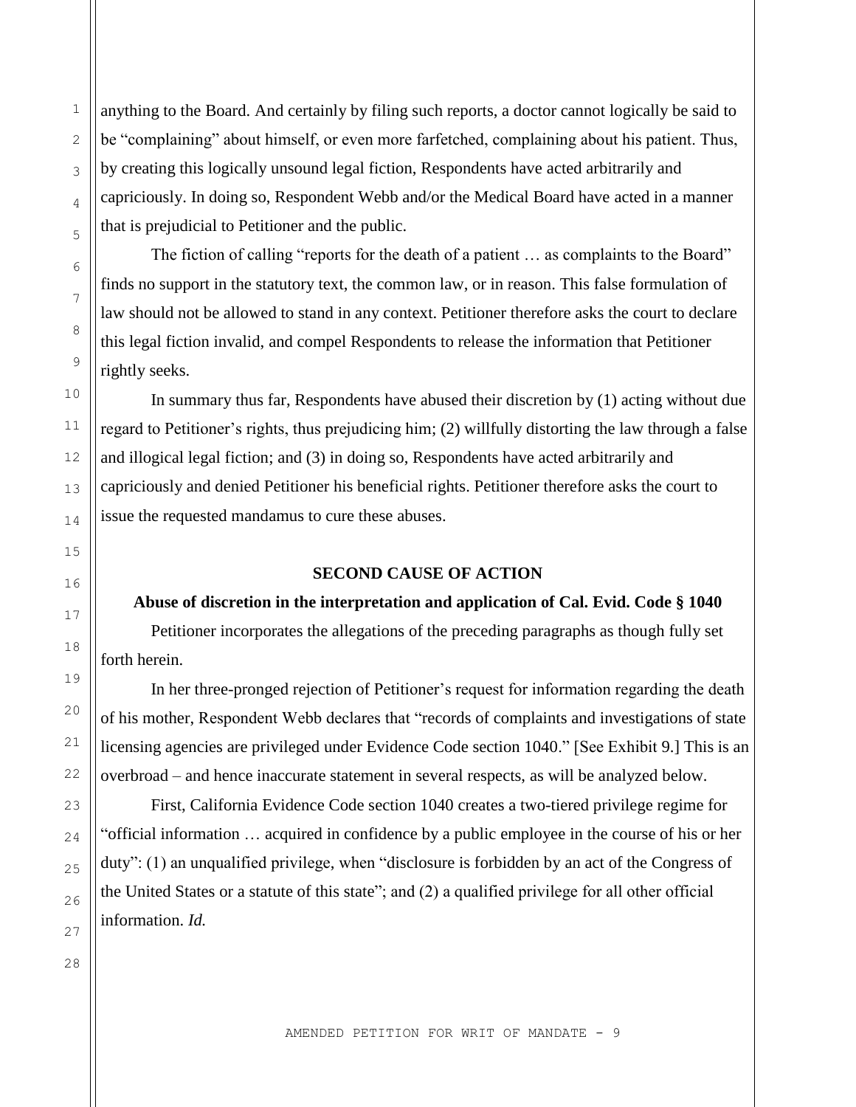anything to the Board. And certainly by filing such reports, a doctor cannot logically be said to be "complaining" about himself, or even more farfetched, complaining about his patient. Thus, by creating this logically unsound legal fiction, Respondents have acted arbitrarily and capriciously. In doing so, Respondent Webb and/or the Medical Board have acted in a manner that is prejudicial to Petitioner and the public.

The fiction of calling "reports for the death of a patient … as complaints to the Board" finds no support in the statutory text, the common law, or in reason. This false formulation of law should not be allowed to stand in any context. Petitioner therefore asks the court to declare this legal fiction invalid, and compel Respondents to release the information that Petitioner rightly seeks.

In summary thus far, Respondents have abused their discretion by (1) acting without due regard to Petitioner's rights, thus prejudicing him; (2) willfully distorting the law through a false and illogical legal fiction; and (3) in doing so, Respondents have acted arbitrarily and capriciously and denied Petitioner his beneficial rights. Petitioner therefore asks the court to issue the requested mandamus to cure these abuses.

### **SECOND CAUSE OF ACTION**

#### **Abuse of discretion in the interpretation and application of Cal. Evid. Code § 1040**

Petitioner incorporates the allegations of the preceding paragraphs as though fully set forth herein.

In her three-pronged rejection of Petitioner's request for information regarding the death of his mother, Respondent Webb declares that "records of complaints and investigations of state licensing agencies are privileged under Evidence Code section 1040." [See Exhibit 9.] This is an overbroad – and hence inaccurate statement in several respects, as will be analyzed below.

First, California Evidence Code section 1040 creates a two-tiered privilege regime for "official information … acquired in confidence by a public employee in the course of his or her duty": (1) an unqualified privilege, when "disclosure is forbidden by an act of the Congress of the United States or a statute of this state"; and (2) a qualified privilege for all other official information. *Id.*

28

1

2

3

4

5

6

7

8

9

10

11

12

13

14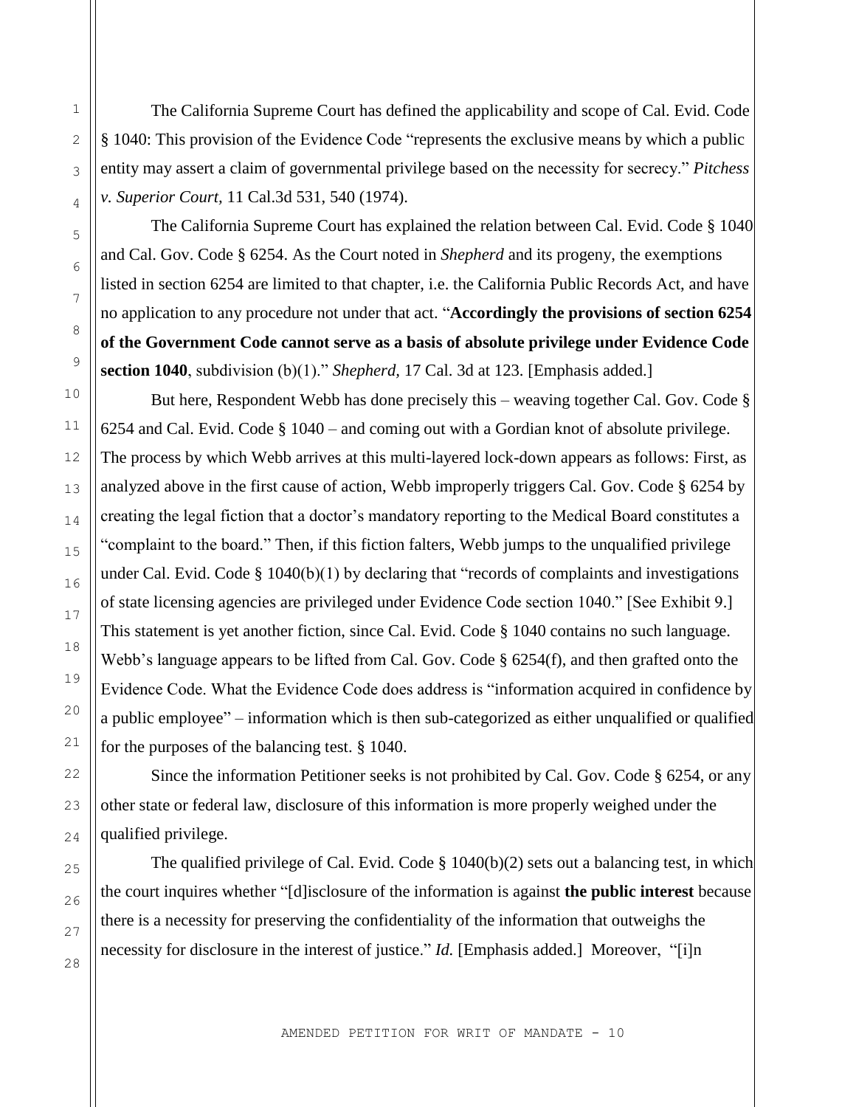The California Supreme Court has defined the applicability and scope of Cal. Evid. Code § 1040: This provision of the Evidence Code "represents the exclusive means by which a public entity may assert a claim of governmental privilege based on the necessity for secrecy." *Pitchess v. Superior Court,* 11 Cal.3d 531, 540 (1974).

The California Supreme Court has explained the relation between Cal. Evid. Code § 1040 and Cal. Gov. Code § 6254. As the Court noted in *Shepherd* and its progeny, the exemptions listed in section 6254 are limited to that chapter, i.e. the California Public Records Act, and have no application to any procedure not under that act. "**Accordingly the provisions of section 6254 of the Government Code cannot serve as a basis of absolute privilege under Evidence Code section 1040**, subdivision (b)(1)." *Shepherd,* 17 Cal. 3d at 123. [Emphasis added.]

But here, Respondent Webb has done precisely this – weaving together Cal. Gov. Code § 6254 and Cal. Evid. Code § 1040 – and coming out with a Gordian knot of absolute privilege. The process by which Webb arrives at this multi-layered lock-down appears as follows: First, as analyzed above in the first cause of action, Webb improperly triggers Cal. Gov. Code § 6254 by creating the legal fiction that a doctor's mandatory reporting to the Medical Board constitutes a "complaint to the board." Then, if this fiction falters, Webb jumps to the unqualified privilege under Cal. Evid. Code § 1040(b)(1) by declaring that "records of complaints and investigations of state licensing agencies are privileged under Evidence Code section 1040." [See Exhibit 9.] This statement is yet another fiction, since Cal. Evid. Code § 1040 contains no such language. Webb's language appears to be lifted from Cal. Gov. Code § 6254(f), and then grafted onto the Evidence Code. What the Evidence Code does address is "information acquired in confidence by a public employee" – information which is then sub-categorized as either unqualified or qualified for the purposes of the balancing test. § 1040.

Since the information Petitioner seeks is not prohibited by Cal. Gov. Code § 6254, or any other state or federal law, disclosure of this information is more properly weighed under the qualified privilege.

The qualified privilege of Cal. Evid. Code § 1040(b)(2) sets out a balancing test, in which the court inquires whether "[d]isclosure of the information is against **the public interest** because there is a necessity for preserving the confidentiality of the information that outweighs the necessity for disclosure in the interest of justice." *Id.* [Emphasis added.] Moreover, "[i]n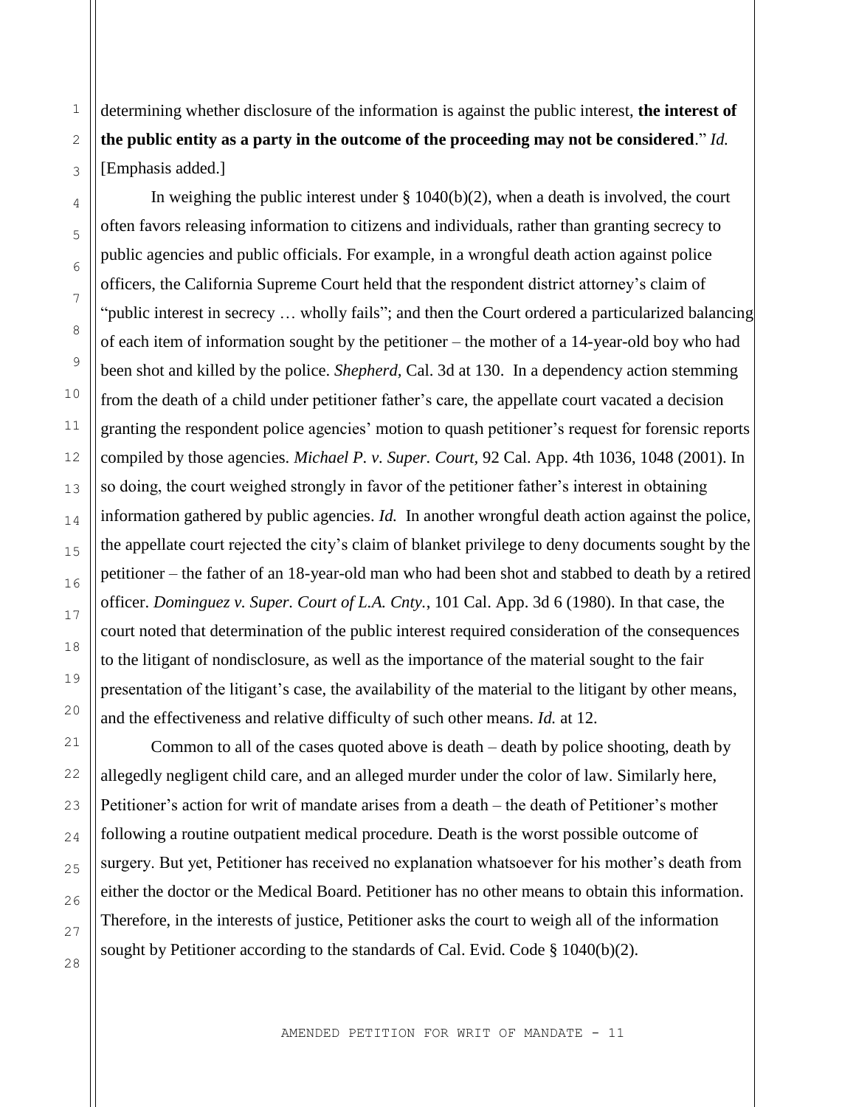determining whether disclosure of the information is against the public interest, **the interest of the public entity as a party in the outcome of the proceeding may not be considered**." *Id.* [Emphasis added.]

In weighing the public interest under  $\S 1040(b)(2)$ , when a death is involved, the court often favors releasing information to citizens and individuals, rather than granting secrecy to public agencies and public officials. For example, in a wrongful death action against police officers, the California Supreme Court held that the respondent district attorney's claim of "public interest in secrecy … wholly fails"; and then the Court ordered a particularized balancing of each item of information sought by the petitioner – the mother of a 14-year-old boy who had been shot and killed by the police. *Shepherd,* Cal. 3d at 130. In a dependency action stemming from the death of a child under petitioner father's care, the appellate court vacated a decision granting the respondent police agencies' motion to quash petitioner's request for forensic reports compiled by those agencies. *Michael P. v. Super. Court,* 92 Cal. App. 4th 1036, 1048 (2001). In so doing, the court weighed strongly in favor of the petitioner father's interest in obtaining information gathered by public agencies. *Id.* In another wrongful death action against the police, the appellate court rejected the city's claim of blanket privilege to deny documents sought by the petitioner – the father of an 18-year-old man who had been shot and stabbed to death by a retired officer. *Dominguez v. Super. Court of L.A. Cnty.*, 101 Cal. App. 3d 6 (1980). In that case, the court noted that determination of the public interest required consideration of the consequences to the litigant of nondisclosure, as well as the importance of the material sought to the fair presentation of the litigant's case, the availability of the material to the litigant by other means, and the effectiveness and relative difficulty of such other means. *Id.* at 12.

Common to all of the cases quoted above is death – death by police shooting, death by allegedly negligent child care, and an alleged murder under the color of law. Similarly here, Petitioner's action for writ of mandate arises from a death – the death of Petitioner's mother following a routine outpatient medical procedure. Death is the worst possible outcome of surgery. But yet, Petitioner has received no explanation whatsoever for his mother's death from either the doctor or the Medical Board. Petitioner has no other means to obtain this information. Therefore, in the interests of justice, Petitioner asks the court to weigh all of the information sought by Petitioner according to the standards of Cal. Evid. Code § 1040(b)(2).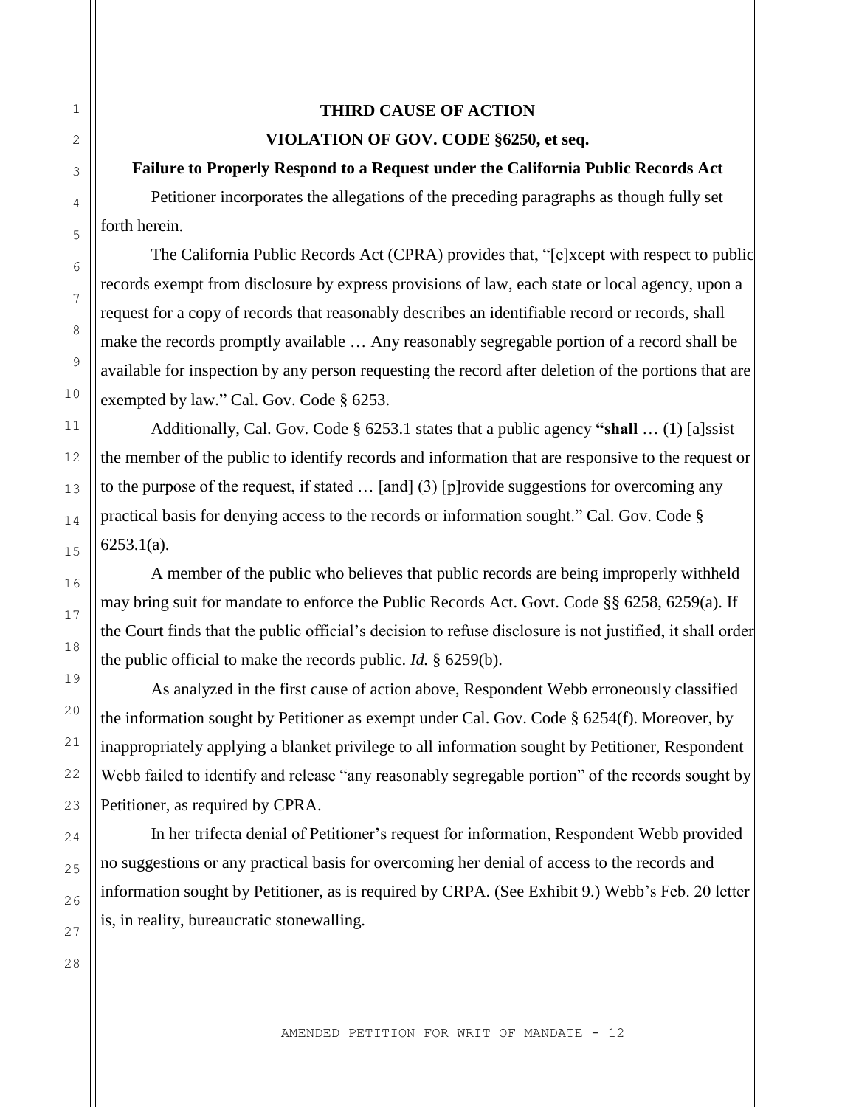## **THIRD CAUSE OF ACTION VIOLATION OF GOV. CODE §6250, et seq.**

### **Failure to Properly Respond to a Request under the California Public Records Act**

Petitioner incorporates the allegations of the preceding paragraphs as though fully set forth herein.

The California Public Records Act (CPRA) provides that, "[e]xcept with respect to public records exempt from disclosure by express provisions of law, each state or local agency, upon a request for a copy of records that reasonably describes an identifiable record or records, shall make the records promptly available … Any reasonably segregable portion of a record shall be available for inspection by any person requesting the record after deletion of the portions that are exempted by law." Cal. Gov. Code § 6253.

Additionally, Cal. Gov. Code § 6253.1 states that a public agency **"shall** … (1) [a]ssist the member of the public to identify records and information that are responsive to the request or to the purpose of the request, if stated … [and] (3) [p]rovide suggestions for overcoming any practical basis for denying access to the records or information sought." Cal. Gov. Code § 6253.1(a).

A member of the public who believes that public records are being improperly withheld may bring suit for mandate to enforce the Public Records Act. Govt. Code §§ 6258, 6259(a). If the Court finds that the public official's decision to refuse disclosure is not justified, it shall order the public official to make the records public. *Id.* § 6259(b).

As analyzed in the first cause of action above, Respondent Webb erroneously classified the information sought by Petitioner as exempt under Cal. Gov. Code § 6254(f). Moreover, by inappropriately applying a blanket privilege to all information sought by Petitioner, Respondent Webb failed to identify and release "any reasonably segregable portion" of the records sought by Petitioner, as required by CPRA.

In her trifecta denial of Petitioner's request for information, Respondent Webb provided no suggestions or any practical basis for overcoming her denial of access to the records and information sought by Petitioner, as is required by CRPA. (See Exhibit 9.) Webb's Feb. 20 letter is, in reality, bureaucratic stonewalling.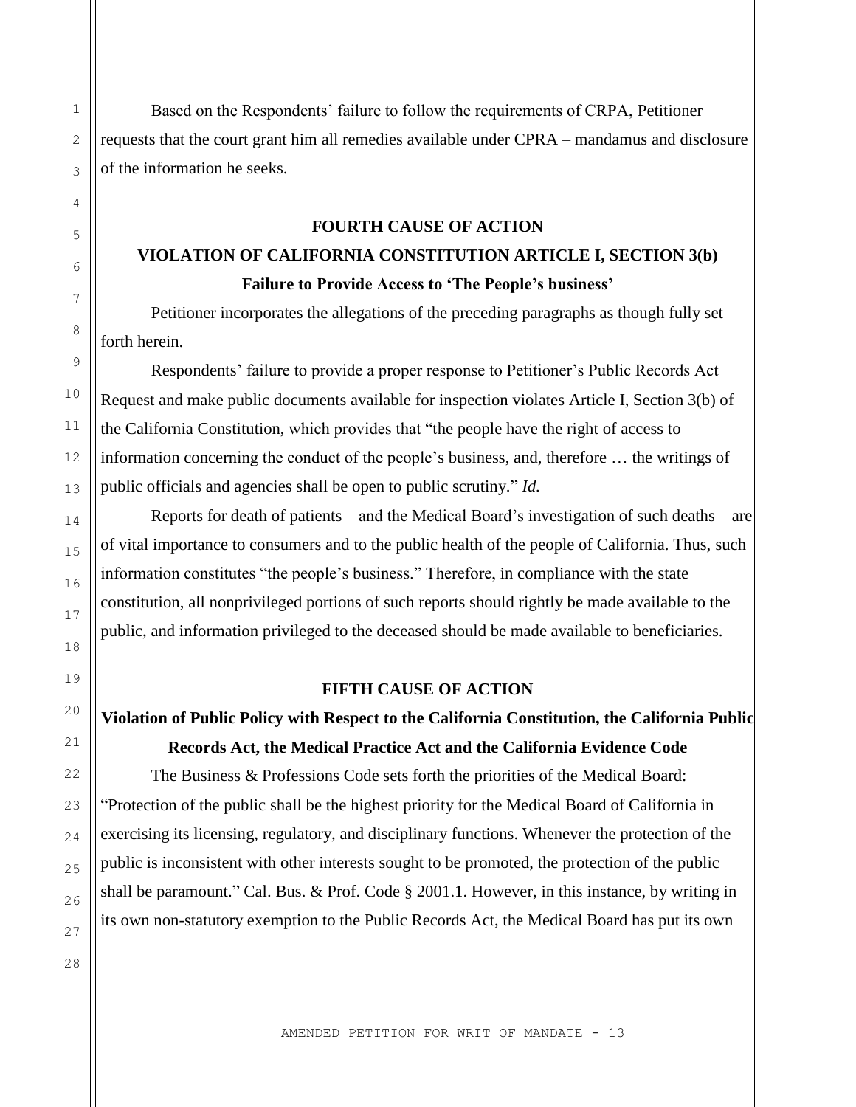Based on the Respondents' failure to follow the requirements of CRPA, Petitioner requests that the court grant him all remedies available under CPRA – mandamus and disclosure of the information he seeks.

### **FOURTH CAUSE OF ACTION**

# **VIOLATION OF CALIFORNIA CONSTITUTION ARTICLE I, SECTION 3(b) Failure to Provide Access to 'The People's business'**

Petitioner incorporates the allegations of the preceding paragraphs as though fully set forth herein.

Respondents' failure to provide a proper response to Petitioner's Public Records Act Request and make public documents available for inspection violates Article I, Section 3(b) of the California Constitution, which provides that "the people have the right of access to information concerning the conduct of the people's business, and, therefore … the writings of public officials and agencies shall be open to public scrutiny." *Id.*

Reports for death of patients – and the Medical Board's investigation of such deaths – are of vital importance to consumers and to the public health of the people of California. Thus, such information constitutes "the people's business." Therefore, in compliance with the state constitution, all nonprivileged portions of such reports should rightly be made available to the public, and information privileged to the deceased should be made available to beneficiaries.

### **FIFTH CAUSE OF ACTION**

### **Violation of Public Policy with Respect to the California Constitution, the California Public**

**Records Act, the Medical Practice Act and the California Evidence Code**

The Business & Professions Code sets forth the priorities of the Medical Board: "Protection of the public shall be the highest priority for the Medical Board of California in exercising its licensing, regulatory, and disciplinary functions. Whenever the protection of the public is inconsistent with other interests sought to be promoted, the protection of the public shall be paramount." Cal. Bus. & Prof. Code § 2001.1. However, in this instance, by writing in its own non-statutory exemption to the Public Records Act, the Medical Board has put its own

1

2

3

4

5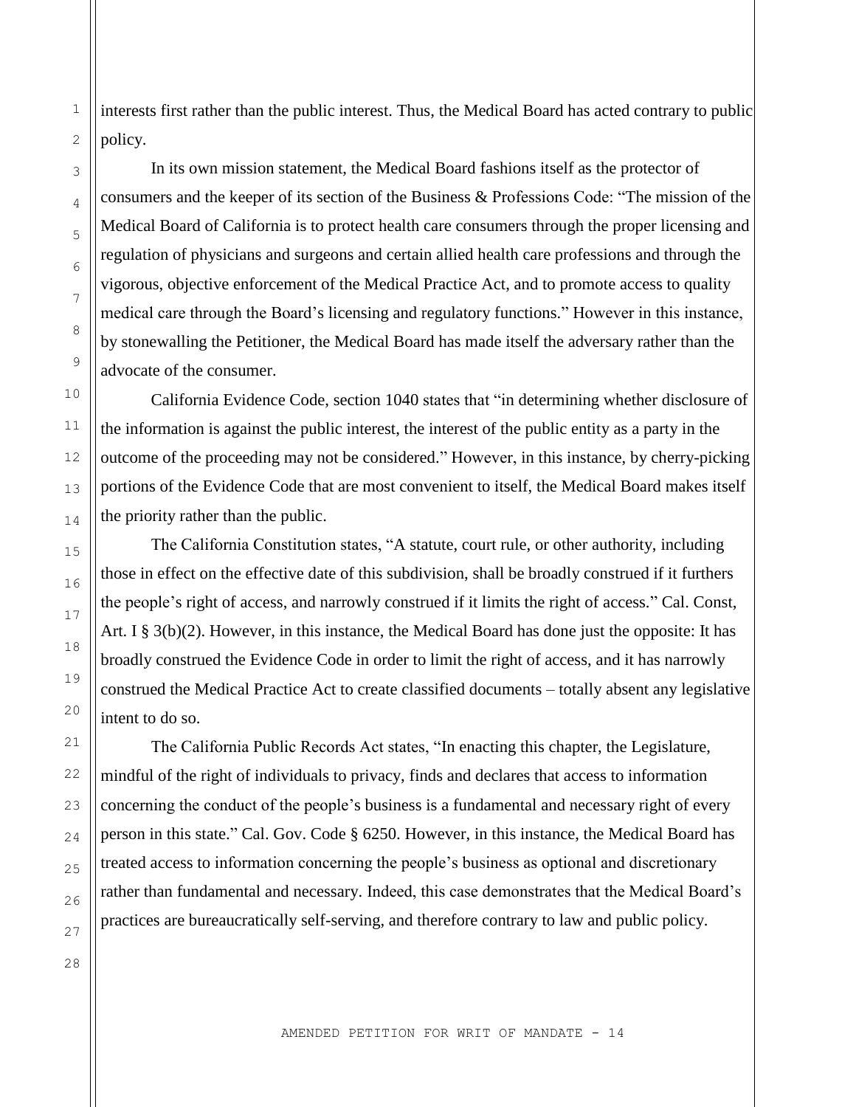interests first rather than the public interest. Thus, the Medical Board has acted contrary to public policy.

In its own mission statement, the Medical Board fashions itself as the protector of consumers and the keeper of its section of the Business & Professions Code: "The mission of the Medical Board of California is to protect health care consumers through the proper licensing and regulation of physicians and surgeons and certain allied health care professions and through the vigorous, objective enforcement of the Medical Practice Act, and to promote access to quality medical care through the Board's licensing and regulatory functions." However in this instance, by stonewalling the Petitioner, the Medical Board has made itself the adversary rather than the advocate of the consumer.

California Evidence Code, section 1040 states that "in determining whether disclosure of the information is against the public interest, the interest of the public entity as a party in the outcome of the proceeding may not be considered." However, in this instance, by cherry-picking portions of the Evidence Code that are most convenient to itself, the Medical Board makes itself the priority rather than the public.

The California Constitution states, "A statute, court rule, or other authority, including those in effect on the effective date of this subdivision, shall be broadly construed if it furthers the people's right of access, and narrowly construed if it limits the right of access." Cal. Const, Art. I § 3(b)(2). However, in this instance, the Medical Board has done just the opposite: It has broadly construed the Evidence Code in order to limit the right of access, and it has narrowly construed the Medical Practice Act to create classified documents – totally absent any legislative intent to do so.

The California Public Records Act states, "In enacting this chapter, the Legislature, mindful of the right of individuals to privacy, finds and declares that access to information concerning the conduct of the people's business is a fundamental and necessary right of every person in this state." Cal. Gov. Code § 6250. However, in this instance, the Medical Board has treated access to information concerning the people's business as optional and discretionary rather than fundamental and necessary. Indeed, this case demonstrates that the Medical Board's practices are bureaucratically self-serving, and therefore contrary to law and public policy.

17

28

1

2

3

4

5

6

7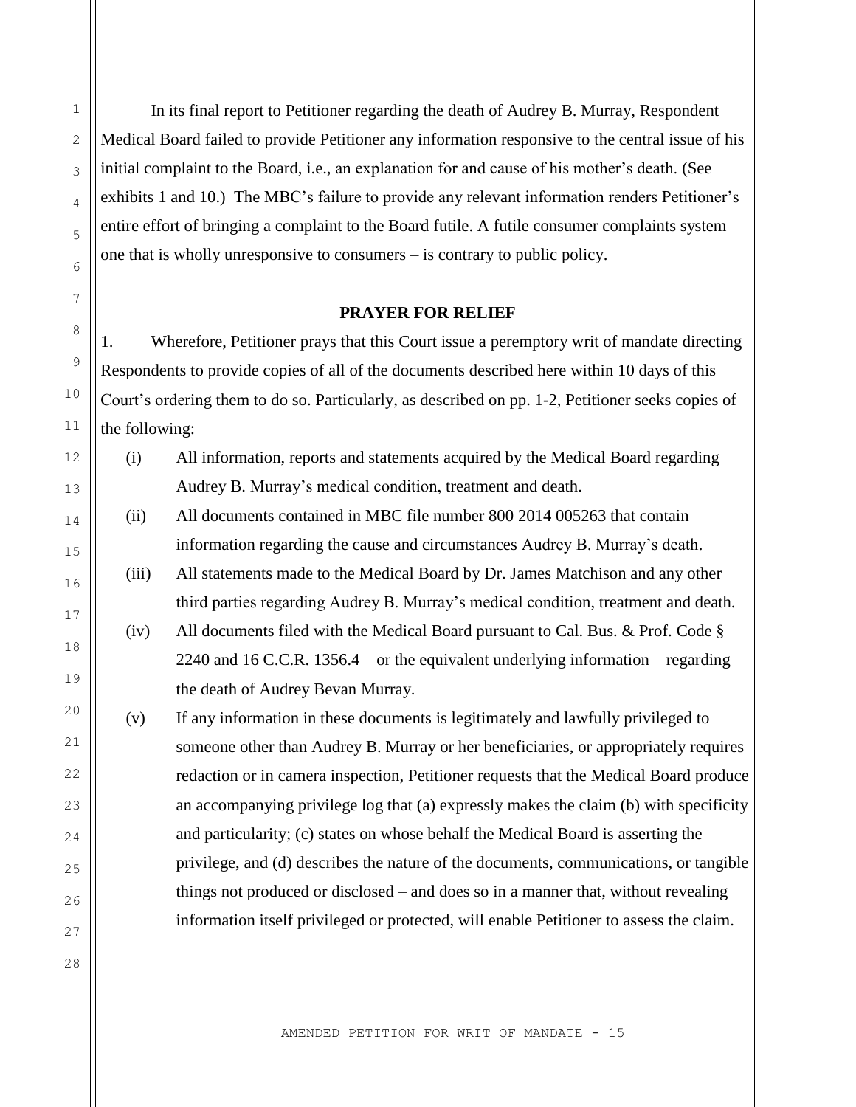In its final report to Petitioner regarding the death of Audrey B. Murray, Respondent Medical Board failed to provide Petitioner any information responsive to the central issue of his initial complaint to the Board, i.e., an explanation for and cause of his mother's death. (See exhibits 1 and 10.) The MBC's failure to provide any relevant information renders Petitioner's entire effort of bringing a complaint to the Board futile. A futile consumer complaints system – one that is wholly unresponsive to consumers – is contrary to public policy.

### **PRAYER FOR RELIEF**

1. Wherefore, Petitioner prays that this Court issue a peremptory writ of mandate directing Respondents to provide copies of all of the documents described here within 10 days of this Court's ordering them to do so. Particularly, as described on pp. 1-2, Petitioner seeks copies of the following:

- (i) All information, reports and statements acquired by the Medical Board regarding Audrey B. Murray's medical condition, treatment and death.
- (ii) All documents contained in MBC file number 800 2014 005263 that contain information regarding the cause and circumstances Audrey B. Murray's death.
- (iii) All statements made to the Medical Board by Dr. James Matchison and any other third parties regarding Audrey B. Murray's medical condition, treatment and death.
- (iv) All documents filed with the Medical Board pursuant to Cal. Bus. & Prof. Code § 2240 and 16 C.C.R. 1356.4 – or the equivalent underlying information – regarding the death of Audrey Bevan Murray.
- (v) If any information in these documents is legitimately and lawfully privileged to someone other than Audrey B. Murray or her beneficiaries, or appropriately requires redaction or in camera inspection, Petitioner requests that the Medical Board produce an accompanying privilege log that (a) expressly makes the claim (b) with specificity and particularity; (c) states on whose behalf the Medical Board is asserting the privilege, and (d) describes the nature of the documents, communications, or tangible things not produced or disclosed – and does so in a manner that, without revealing information itself privileged or protected, will enable Petitioner to assess the claim.

1

2

3

4

5

6

7

8

9

10

11

12

13

14

15

16

17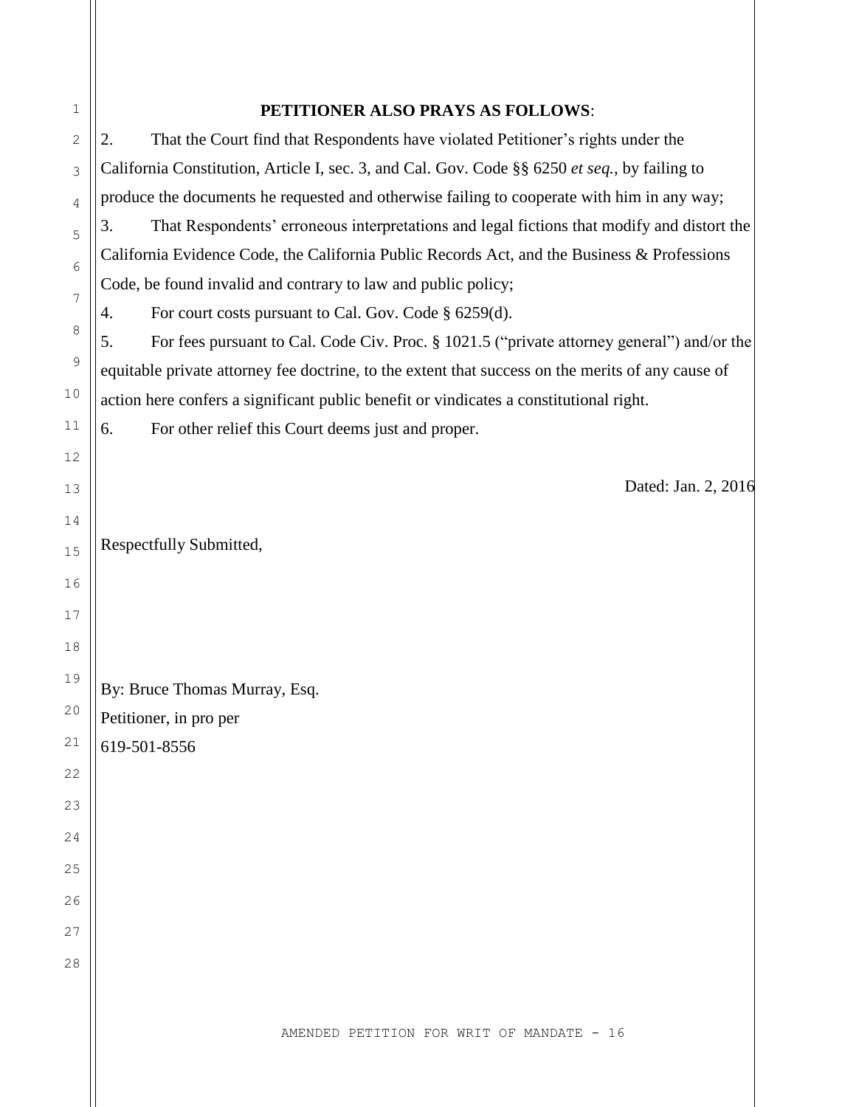| 1            | PETITIONER ALSO PRAYS AS FOLLOWS:                                                                 |  |  |
|--------------|---------------------------------------------------------------------------------------------------|--|--|
| $\mathbf{2}$ | That the Court find that Respondents have violated Petitioner's rights under the<br>2.            |  |  |
| 3            | California Constitution, Article I, sec. 3, and Cal. Gov. Code §§ 6250 et seq., by failing to     |  |  |
| 4            | produce the documents he requested and otherwise failing to cooperate with him in any way;        |  |  |
| 5            | That Respondents' erroneous interpretations and legal fictions that modify and distort the<br>3.  |  |  |
| $6\,$        | California Evidence Code, the California Public Records Act, and the Business & Professions       |  |  |
| 7            | Code, be found invalid and contrary to law and public policy;                                     |  |  |
| 8            | For court costs pursuant to Cal. Gov. Code § 6259(d).<br>4.                                       |  |  |
|              | For fees pursuant to Cal. Code Civ. Proc. § 1021.5 ("private attorney general") and/or the<br>5.  |  |  |
| $\mathsf 9$  | equitable private attorney fee doctrine, to the extent that success on the merits of any cause of |  |  |
| 10           | action here confers a significant public benefit or vindicates a constitutional right.            |  |  |
| 11           | For other relief this Court deems just and proper.<br>6.                                          |  |  |
| 12           |                                                                                                   |  |  |
| 13           | Dated: Jan. 2, 2016                                                                               |  |  |
| 14           |                                                                                                   |  |  |
| 15           | Respectfully Submitted,                                                                           |  |  |
| 16           |                                                                                                   |  |  |
| 17           |                                                                                                   |  |  |
| 18           |                                                                                                   |  |  |
| 19           | By: Bruce Thomas Murray, Esq.                                                                     |  |  |
| 20           | Petitioner, in pro per                                                                            |  |  |
| 21           | 619-501-8556                                                                                      |  |  |
| 22           |                                                                                                   |  |  |
| 23           |                                                                                                   |  |  |
| 24           |                                                                                                   |  |  |
| 25           |                                                                                                   |  |  |
| 26           |                                                                                                   |  |  |
| 27           |                                                                                                   |  |  |
| 28           |                                                                                                   |  |  |
|              |                                                                                                   |  |  |
|              |                                                                                                   |  |  |
|              | AMENDED PETITION FOR WRIT OF MANDATE - 16                                                         |  |  |